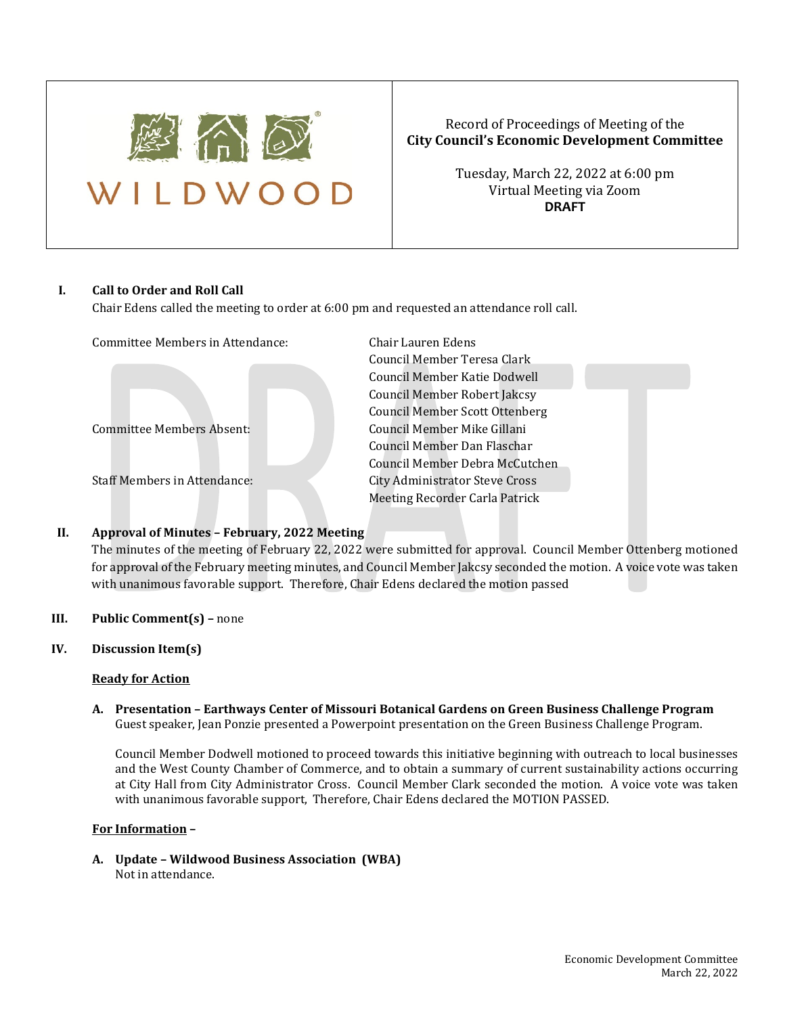

# Record of Proceedings of Meeting of the **City Council's Economic Development Committee**

Tuesday, March 22, 2022 at 6:00 pm Virtual Meeting via Zoom **DRAFT**

### **I. Call to Order and Roll Call**

Chair Edens called the meeting to order at 6:00 pm and requested an attendance roll call.

| Committee Members in Attendance:    | Chair Lauren Edens                    |
|-------------------------------------|---------------------------------------|
|                                     | Council Member Teresa Clark           |
|                                     | Council Member Katie Dodwell          |
|                                     | Council Member Robert Jakcsy          |
|                                     | <b>Council Member Scott Ottenberg</b> |
| Committee Members Absent:           | Council Member Mike Gillani           |
|                                     | Council Member Dan Flaschar           |
|                                     | Council Member Debra McCutch          |
| <b>Staff Members in Attendance:</b> | City Administrator Steve Cross        |
|                                     | Meeting Recorder Carla Patrick        |
|                                     |                                       |

## **II. Approval of Minutes – February, 2022 Meeting**

The minutes of the meeting of February 22, 2022 were submitted for approval. Council Member Ottenberg motioned for approval of the February meeting minutes, and Council Member Jakcsy seconded the motion. A voice vote was taken with unanimous favorable support. Therefore, Chair Edens declared the motion passed

cil Member Robert Jakcsy cil Member Scott Ottenberg cil Member Mike Gillani cil Member Dan Flaschar cil Member Debra McCutchen

## **III. Public Comment(s) –** none

# **IV. Discussion Item(s)**

### **Ready for Action**

**A. Presentation – Earthways Center of Missouri Botanical Gardens on Green Business Challenge Program** Guest speaker, Jean Ponzie presented a Powerpoint presentation on the Green Business Challenge Program.

Council Member Dodwell motioned to proceed towards this initiative beginning with outreach to local businesses and the West County Chamber of Commerce, and to obtain a summary of current sustainability actions occurring at City Hall from City Administrator Cross. Council Member Clark seconded the motion. A voice vote was taken with unanimous favorable support, Therefore, Chair Edens declared the MOTION PASSED.

### **For Information –**

**A. Update – Wildwood Business Association (WBA)** Not in attendance.